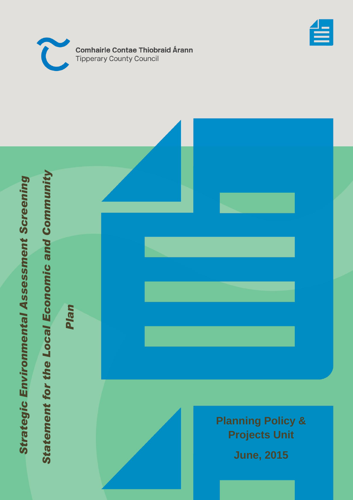



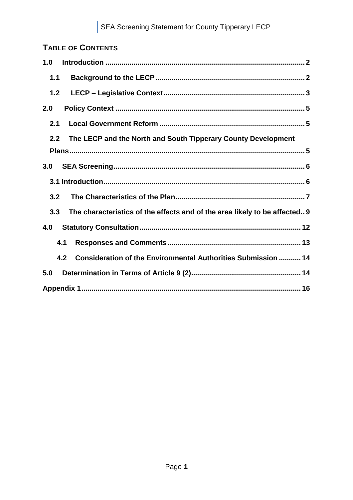# **TABLE OF CONTENTS**

| 1.0   |                                                                             |
|-------|-----------------------------------------------------------------------------|
| 1.1   |                                                                             |
| $1.2$ |                                                                             |
| 2.0   |                                                                             |
| 2.1   |                                                                             |
| 2.2   | The LECP and the North and South Tipperary County Development               |
|       |                                                                             |
| 3.0   |                                                                             |
|       |                                                                             |
| 3.2   |                                                                             |
| 3.3   | The characteristics of the effects and of the area likely to be affected 9  |
| 4.0   |                                                                             |
|       | 4.1                                                                         |
|       | <b>Consideration of the Environmental Authorities Submission  14</b><br>4.2 |
| 5.0   |                                                                             |
|       |                                                                             |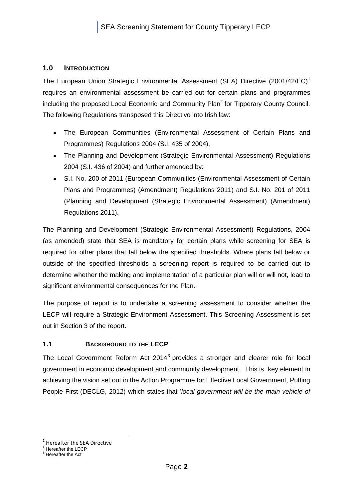#### <span id="page-2-0"></span>**1.0 INTRODUCTION**

The European Union Strategic Environmental Assessment (SEA) Directive (2001/42/EC)<sup>1</sup> requires an environmental assessment be carried out for certain plans and programmes including the proposed Local Economic and Community Plan<sup>2</sup> for Tipperary County Council. The following Regulations transposed this Directive into Irish law:

- The European Communities (Environmental Assessment of Certain Plans and Programmes) Regulations 2004 (S.I. 435 of 2004),
- The Planning and Development (Strategic Environmental Assessment) Regulations 2004 (S.I. 436 of 2004) and further amended by:
- $\bullet$ S.I. No. 200 of 2011 (European Communities (Environmental Assessment of Certain Plans and Programmes) (Amendment) Regulations 2011) and S.I. No. 201 of 2011 (Planning and Development (Strategic Environmental Assessment) (Amendment) Regulations 2011).

The Planning and Development (Strategic Environmental Assessment) Regulations, 2004 (as amended) state that SEA is mandatory for certain plans while screening for SEA is required for other plans that fall below the specified thresholds. Where plans fall below or outside of the specified thresholds a screening report is required to be carried out to determine whether the making and implementation of a particular plan will or will not, lead to significant environmental consequences for the Plan.

The purpose of report is to undertake a screening assessment to consider whether the LECP will require a Strategic Environment Assessment. This Screening Assessment is set out in Section 3 of the report.

#### <span id="page-2-1"></span>**1.1 BACKGROUND TO THE LECP**

The Local Government Reform Act 2014<sup>3</sup> provides a stronger and clearer role for local government in economic development and community development. This is key element in achieving the vision set out in the Action Programme for Effective Local Government, Putting People First (DECLG, 2012) which states that '*local government will be the main vehicle of* 

1

<sup>1</sup> Hereafter the SEA Directive

<sup>&</sup>lt;sup>2</sup> Hereafter the LECP

<sup>&</sup>lt;sup>3</sup> Hereafter the Act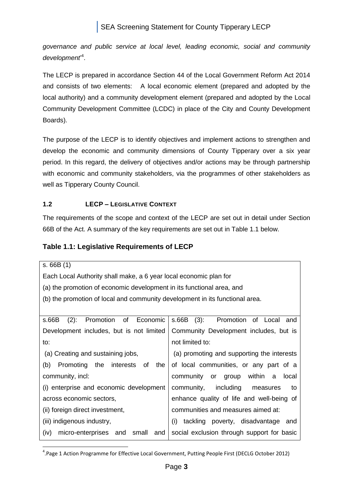*governance and public service at local level, leading economic, social and community development*' 4 .

The LECP is prepared in accordance Section 44 of the Local Government Reform Act 2014 and consists of two elements: A local economic element (prepared and adopted by the local authority) and a community development element (prepared and adopted by the Local Community Development Committee (LCDC) in place of the City and County Development Boards).

The purpose of the LECP is to identify objectives and implement actions to strengthen and develop the economic and community dimensions of County Tipperary over a six year period. In this regard, the delivery of objectives and/or actions may be through partnership with economic and community stakeholders, via the programmes of other stakeholders as well as Tipperary County Council.

# <span id="page-3-0"></span>**1.2 LECP – LEGISLATIVE CONTEXT**

The requirements of the scope and context of the LECP are set out in detail under Section 66B of the Act. A summary of the key requirements are set out in Table 1.1 below.

# **Table 1.1: Legislative Requirements of LECP**

s. 66B (1)

Each Local Authority shall make, a 6 year local economic plan for

(a) the promotion of economic development in its functional area, and

(b) the promotion of local and community development in its functional area.

| Promotion of Economic<br>s.66B<br>$(2)$ :         | $(3)$ :<br>s.66B<br>Promotion of Local<br>and   |
|---------------------------------------------------|-------------------------------------------------|
| Development includes, but is not limited          | Community Development includes, but is          |
| to:                                               | not limited to:                                 |
| (a) Creating and sustaining jobs,                 | (a) promoting and supporting the interests      |
| (b)<br>the<br>of<br>interests<br>the<br>Promoting | of local communities, or any part of a          |
| community, incl:                                  | within<br>community<br>or group<br>a<br>local   |
| (i) enterprise and economic development           | community,<br>including<br>measures<br>to       |
| across economic sectors,                          | enhance quality of life and well-being of       |
| (ii) foreign direct investment,                   | communities and measures aimed at:              |
| (iii) indigenous industry,                        | poverty, disadvantage<br>(i)<br>tackling<br>and |
| (iv)<br>micro-enterprises and<br>small<br>and     | social exclusion through support for basic      |

<sup>1</sup> 4 .Page 1 Action Programme for Effective Local Government, Putting People First (DECLG October 2012)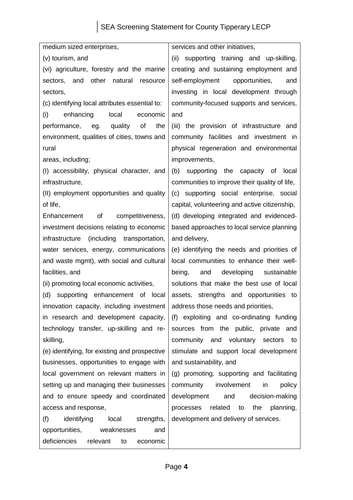# SEA Screening Statement for County Tipperary LECP

medium sized enterprises, (v) tourism, and (vi) agriculture, forestry and the marine sectors, and other natural resource sectors, (c) identifying local attributes essential to: (i) enhancing local economic performance, eg. quality of the environment, qualities of cities, towns and rural areas, including; (I) accessibility, physical character, and infrastructure, (II) employment opportunities and quality of life, Enhancement of competitiveness, investment decisions relating to economic infrastructure (including transportation, water services, energy, communications and waste mgmt), with social and cultural facilities, and (ii) promoting local economic activities, (d) supporting enhancement of local innovation capacity, including investment in research and development capacity, technology transfer, up-skilling and reskilling, (e) identifying, for existing and prospective businesses, opportunities to engage with local government on relevant matters in setting up and managing their businesses and to ensure speedy and coordinated access and response, (f) identifying local strengths, opportunities, weaknesses and deficiencies relevant to economic and and delivery,

services and other initiatives,

(ii) supporting training and up-skilling, creating and sustaining employment and self-employment opportunities, and investing in local development through community-focused supports and services,

(iii) the provision of infrastructure and community facilities and investment in physical regeneration and environmental improvements,

(b) supporting the capacity of local communities to improve their quality of life, (c) supporting social enterprise, social capital, volunteering and active citizenship, (d) developing integrated and evidencedbased approaches to local service planning

(e) identifying the needs and priorities of local communities to enhance their wellbeing, and developing sustainable solutions that make the best use of local assets, strengths and opportunities to address those needs and priorities,

(f) exploiting and co-ordinating funding sources from the public, private and community and voluntary sectors to stimulate and support local development and sustainability, and

(g) promoting, supporting and facilitating community involvement in policy development and decision-making processes related to the planning, development and delivery of services.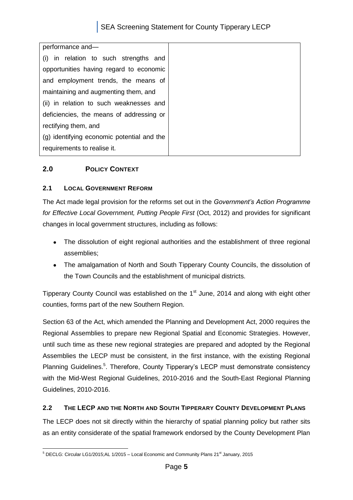# SEA Screening Statement for County Tipperary LECP

| performance and-                           |  |  |
|--------------------------------------------|--|--|
| (i) in relation to such strengths and      |  |  |
| opportunities having regard to economic    |  |  |
| and employment trends, the means of        |  |  |
| maintaining and augmenting them, and       |  |  |
| (ii) in relation to such weaknesses and    |  |  |
| deficiencies, the means of addressing or   |  |  |
| rectifying them, and                       |  |  |
| (g) identifying economic potential and the |  |  |
| requirements to realise it.                |  |  |

# <span id="page-5-0"></span>**2.0 POLICY CONTEXT**

#### <span id="page-5-1"></span>**2.1 LOCAL GOVERNMENT REFORM**

The Act made legal provision for the reforms set out in the *Government's Action Programme for Effective Local Government, Putting People First* (Oct, 2012) and provides for significant changes in local government structures, including as follows:

- The dissolution of eight regional authorities and the establishment of three regional  $\bullet$ assemblies;
- The amalgamation of North and South Tipperary County Councils, the dissolution of the Town Councils and the establishment of municipal districts.

Tipperary County Council was established on the  $1<sup>st</sup>$  June, 2014 and along with eight other counties, forms part of the new Southern Region.

Section 63 of the Act, which amended the Planning and Development Act, 2000 requires the Regional Assemblies to prepare new Regional Spatial and Economic Strategies. However, until such time as these new regional strategies are prepared and adopted by the Regional Assemblies the LECP must be consistent, in the first instance, with the existing Regional Planning Guidelines.<sup>5</sup>. Therefore, County Tipperary's LECP must demonstrate consistency with the Mid-West Regional Guidelines, 2010-2016 and the South-East Regional Planning Guidelines, 2010-2016.

#### <span id="page-5-2"></span>**2.2 THE LECP AND THE NORTH AND SOUTH TIPPERARY COUNTY DEVELOPMENT PLANS**

The LECP does not sit directly within the hierarchy of spatial planning policy but rather sits as an entity considerate of the spatial framework endorsed by the County Development Plan

<sup>1</sup>  $^5$  DECLG: Circular LG1/2015;AL 1/2015 – Local Economic and Community Plans 21<sup>st</sup> January, 2015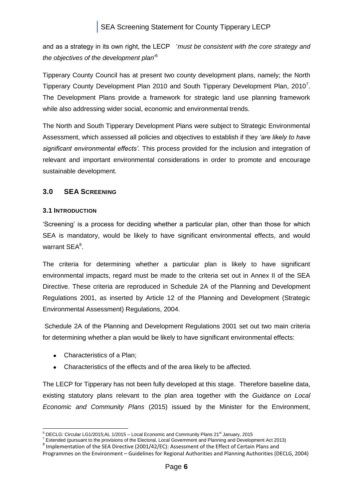and as a strategy in its own right, the LECP '*must be consistent with the core strategy and the objectives of the development plan*' 6

Tipperary County Council has at present two county development plans, namely; the North Tipperary County Development Plan 2010 and South Tipperary Development Plan, 2010<sup>7</sup>. The Development Plans provide a framework for strategic land use planning framework while also addressing wider social, economic and environmental trends.

The North and South Tipperary Development Plans were subject to Strategic Environmental Assessment, which assessed all policies and objectives to establish if they *'are likely to have significant environmental effects'.* This process provided for the inclusion and integration of relevant and important environmental considerations in order to promote and encourage sustainable development.

# <span id="page-6-0"></span>**3.0 SEA SCREENING**

#### <span id="page-6-1"></span>**3.1 INTRODUCTION**

'Screening' is a process for deciding whether a particular plan, other than those for which SEA is mandatory, would be likely to have significant environmental effects, and would warrant SEA<sup>8</sup>.

The criteria for determining whether a particular plan is likely to have significant environmental impacts, regard must be made to the criteria set out in Annex II of the SEA Directive. These criteria are reproduced in Schedule 2A of the Planning and Development Regulations 2001, as inserted by Article 12 of the Planning and Development (Strategic Environmental Assessment) Regulations, 2004.

Schedule 2A of the Planning and Development Regulations 2001 set out two main criteria for determining whether a plan would be likely to have significant environmental effects:

- Characteristics of a Plan:
- Characteristics of the effects and of the area likely to be affected.

The LECP for Tipperary has not been fully developed at this stage. Therefore baseline data, existing statutory plans relevant to the plan area together with the *Guidance on Local Economic and Community Plans* (2015) issued by the Minister for the Environment,

<sup>1</sup>  $6$  DECLG: Circular LG1/2015;AL 1/2015 – Local Economic and Community Plans 21 $\mathrm{^{st}}$  January, 2015

<sup>7</sup> Extended (pursuant to the provisions of the Electoral, Local Government and Planning and Development Act 2013)

<sup>&</sup>lt;sup>8</sup> Implementation of the SEA Directive (2001/42/EC): Assessment of the Effect of Certain Plans and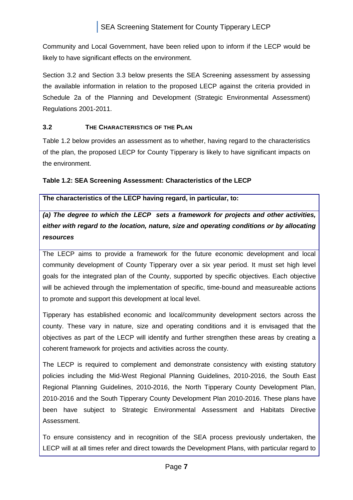Community and Local Government, have been relied upon to inform if the LECP would be likely to have significant effects on the environment.

Section 3.2 and Section 3.3 below presents the SEA Screening assessment by assessing the available information in relation to the proposed LECP against the criteria provided in Schedule 2a of the Planning and Development (Strategic Environmental Assessment) Regulations 2001-2011.

# <span id="page-7-0"></span>**3.2 THE CHARACTERISTICS OF THE PLAN**

Table 1.2 below provides an assessment as to whether, having regard to the characteristics of the plan, the proposed LECP for County Tipperary is likely to have significant impacts on the environment.

# **Table 1.2: SEA Screening Assessment: Characteristics of the LECP**

**The characteristics of the LECP having regard, in particular, to:**

*(a) The degree to which the LECP sets a framework for projects and other activities, either with regard to the location, nature, size and operating conditions or by allocating resources*

The LECP aims to provide a framework for the future economic development and local community development of County Tipperary over a six year period. It must set high level goals for the integrated plan of the County, supported by specific objectives. Each objective will be achieved through the implementation of specific, time-bound and measureable actions to promote and support this development at local level.

Tipperary has established economic and local/community development sectors across the county. These vary in nature, size and operating conditions and it is envisaged that the objectives as part of the LECP will identify and further strengthen these areas by creating a coherent framework for projects and activities across the county.

The LECP is required to complement and demonstrate consistency with existing statutory policies including the Mid-West Regional Planning Guidelines, 2010-2016, the South East Regional Planning Guidelines, 2010-2016, the North Tipperary County Development Plan, 2010-2016 and the South Tipperary County Development Plan 2010-2016. These plans have been have subject to Strategic Environmental Assessment and Habitats Directive Assessment.

To ensure consistency and in recognition of the SEA process previously undertaken, the LECP will at all times refer and direct towards the Development Plans, with particular regard to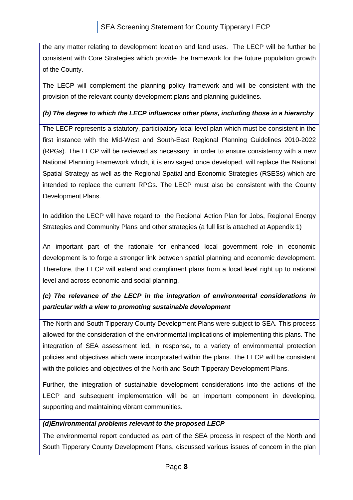the any matter relating to development location and land uses. The LECP will be further be consistent with Core Strategies which provide the framework for the future population growth of the County.

The LECP will complement the planning policy framework and will be consistent with the provision of the relevant county development plans and planning guidelines.

#### *(b) The degree to which the LECP influences other plans, including those in a hierarchy*

The LECP represents a statutory, participatory local level plan which must be consistent in the first instance with the Mid-West and South-East Regional Planning Guidelines 2010-2022 (RPGs). The LECP will be reviewed as necessary in order to ensure consistency with a new National Planning Framework which, it is envisaged once developed, will replace the National Spatial Strategy as well as the Regional Spatial and Economic Strategies (RSESs) which are intended to replace the current RPGs. The LECP must also be consistent with the County Development Plans.

In addition the LECP will have regard to the Regional Action Plan for Jobs, Regional Energy Strategies and Community Plans and other strategies (a full list is attached at Appendix 1)

An important part of the rationale for enhanced local government role in economic development is to forge a stronger link between spatial planning and economic development. Therefore, the LECP will extend and compliment plans from a local level right up to national level and across economic and social planning.

# *(c) The relevance of the LECP in the integration of environmental considerations in particular with a view to promoting sustainable development*

The North and South Tipperary County Development Plans were subject to SEA. This process allowed for the consideration of the environmental implications of implementing this plans. The integration of SEA assessment led, in response, to a variety of environmental protection policies and objectives which were incorporated within the plans. The LECP will be consistent with the policies and objectives of the North and South Tipperary Development Plans.

Further, the integration of sustainable development considerations into the actions of the LECP and subsequent implementation will be an important component in developing, supporting and maintaining vibrant communities.

#### *(d)Environmental problems relevant to the proposed LECP*

The environmental report conducted as part of the SEA process in respect of the North and South Tipperary County Development Plans, discussed various issues of concern in the plan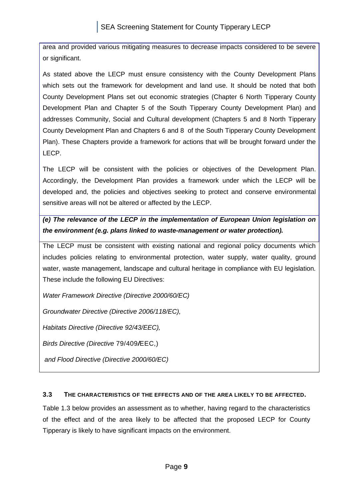area and provided various mitigating measures to decrease impacts considered to be severe or significant.

As stated above the LECP must ensure consistency with the County Development Plans which sets out the framework for development and land use. It should be noted that both County Development Plans set out economic strategies (Chapter 6 North Tipperary County Development Plan and Chapter 5 of the South Tipperary County Development Plan) and addresses Community, Social and Cultural development (Chapters 5 and 8 North Tipperary County Development Plan and Chapters 6 and 8 of the South Tipperary County Development Plan). These Chapters provide a framework for actions that will be brought forward under the LECP.

The LECP will be consistent with the policies or objectives of the Development Plan. Accordingly, the Development Plan provides a framework under which the LECP will be developed and, the policies and objectives seeking to protect and conserve environmental sensitive areas will not be altered or affected by the LECP.

*(e) The relevance of the LECP in the implementation of European Union legislation on the environment (e.g. plans linked to waste-management or water protection).*

The LECP must be consistent with existing national and regional policy documents which includes policies relating to environmental protection, water supply, water quality, ground water, waste management, landscape and cultural heritage in compliance with EU legislation. These include the following EU Directives:

*Water Framework Directive (Directive 2000/60/EC)*

*Groundwater Directive (Directive 2006/118/EC),* 

*Habitats Directive (Directive 92/43/EEC),*

*Birds Directive (Directive* 79/409*/*EEC,)

*and Flood Directive (Directive 2000/60/EC)*

# <span id="page-9-0"></span>**3.3 THE CHARACTERISTICS OF THE EFFECTS AND OF THE AREA LIKELY TO BE AFFECTED.**

Table 1.3 below provides an assessment as to whether, having regard to the characteristics of the effect and of the area likely to be affected that the proposed LECP for County Tipperary is likely to have significant impacts on the environment.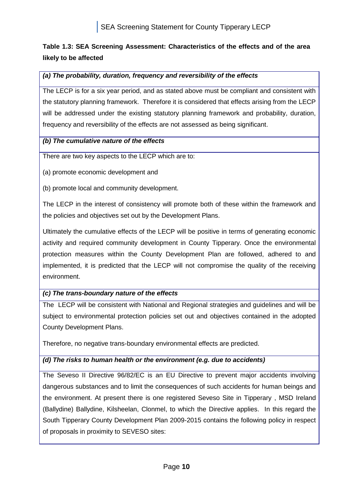# **Table 1.3: SEA Screening Assessment: Characteristics of the effects and of the area likely to be affected**

# *(a) The probability, duration, frequency and reversibility of the effects*

The LECP is for a six year period, and as stated above must be compliant and consistent with the statutory planning framework. Therefore it is considered that effects arising from the LECP will be addressed under the existing statutory planning framework and probability, duration, frequency and reversibility of the effects are not assessed as being significant.

#### *(b) The cumulative nature of the effects*

There are two key aspects to the LECP which are to:

(a) promote economic development and

(b) promote local and community development.

The LECP in the interest of consistency will promote both of these within the framework and the policies and objectives set out by the Development Plans.

Ultimately the cumulative effects of the LECP will be positive in terms of generating economic activity and required community development in County Tipperary. Once the environmental protection measures within the County Development Plan are followed, adhered to and implemented, it is predicted that the LECP will not compromise the quality of the receiving environment.

# *(c) The trans-boundary nature of the effects*

The LECP will be consistent with National and Regional strategies and guidelines and will be subject to environmental protection policies set out and objectives contained in the adopted County Development Plans.

Therefore, no negative trans-boundary environmental effects are predicted.

# *(d) The risks to human health or the environment (e.g. due to accidents)*

The Seveso II Directive 96/82/EC is an EU Directive to prevent major accidents involving dangerous substances and to limit the consequences of such accidents for human beings and the environment. At present there is one registered Seveso Site in Tipperary , MSD Ireland (Ballydine) Ballydine, Kilsheelan, Clonmel, to which the Directive applies. In this regard the South Tipperary County Development Plan 2009-2015 contains the following policy in respect of proposals in proximity to SEVESO sites: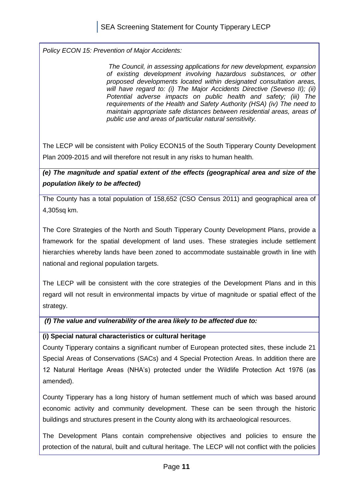*Policy ECON 15: Prevention of Major Accidents:* 

*The Council, in assessing applications for new development, expansion of existing development involving hazardous substances, or other proposed developments located within designated consultation areas, will have regard to: (i) The Major Accidents Directive (Seveso II); (ii) Potential adverse impacts on public health and safety; (iii) The requirements of the Health and Safety Authority (HSA) (iv) The need to maintain appropriate safe distances between residential areas, areas of public use and areas of particular natural sensitivity.*

The LECP will be consistent with Policy ECON15 of the South Tipperary County Development Plan 2009-2015 and will therefore not result in any risks to human health.

*(e) The magnitude and spatial extent of the effects (geographical area and size of the population likely to be affected)*

The County has a total population of 158,652 (CSO Census 2011) and geographical area of 4,305sq km.

The Core Strategies of the North and South Tipperary County Development Plans, provide a framework for the spatial development of land uses. These strategies include settlement hierarchies whereby lands have been zoned to accommodate sustainable growth in line with national and regional population targets.

The LECP will be consistent with the core strategies of the Development Plans and in this regard will not result in environmental impacts by virtue of magnitude or spatial effect of the strategy.

*(f) The value and vulnerability of the area likely to be affected due to:*

#### **(i) Special natural characteristics or cultural heritage**

County Tipperary contains a significant number of European protected sites, these include 21 Special Areas of Conservations (SACs) and 4 Special Protection Areas. In addition there are 12 Natural Heritage Areas (NHA's) protected under the Wildlife Protection Act 1976 (as amended).

County Tipperary has a long history of human settlement much of which was based around economic activity and community development. These can be seen through the historic buildings and structures present in the County along with its archaeological resources.

The Development Plans contain comprehensive objectives and policies to ensure the protection of the natural, built and cultural heritage. The LECP will not conflict with the policies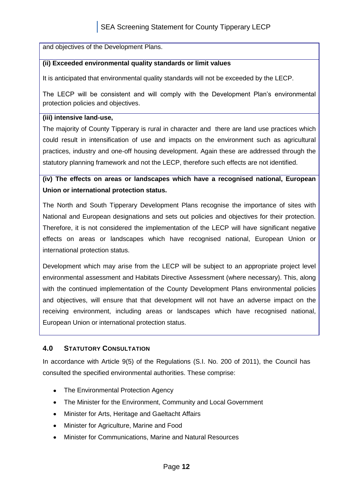and objectives of the Development Plans.

#### **(ii) Exceeded environmental quality standards or limit values**

It is anticipated that environmental quality standards will not be exceeded by the LECP.

The LECP will be consistent and will comply with the Development Plan's environmental protection policies and objectives.

#### **(iii) intensive land-use,**

The majority of County Tipperary is rural in character and there are land use practices which could result in intensification of use and impacts on the environment such as agricultural practices, industry and one-off housing development. Again these are addressed through the statutory planning framework and not the LECP, therefore such effects are not identified.

# **(iv) The effects on areas or landscapes which have a recognised national, European Union or international protection status.**

The North and South Tipperary Development Plans recognise the importance of sites with National and European designations and sets out policies and objectives for their protection. Therefore, it is not considered the implementation of the LECP will have significant negative effects on areas or landscapes which have recognised national, European Union or international protection status.

Development which may arise from the LECP will be subject to an appropriate project level environmental assessment and Habitats Directive Assessment (where necessary). This, along with the continued implementation of the County Development Plans environmental policies and objectives, will ensure that that development will not have an adverse impact on the receiving environment, including areas or landscapes which have recognised national, European Union or international protection status.

# <span id="page-12-0"></span>**4.0 STATUTORY CONSULTATION**

In accordance with Article 9(5) of the Regulations (S.I. No. 200 of 2011), the Council has consulted the specified environmental authorities. These comprise:

- The Environmental Protection Agency
- The Minister for the Environment, Community and Local Government
- Minister for Arts, Heritage and Gaeltacht Affairs
- $\bullet$ Minister for Agriculture, Marine and Food
- $\bullet$ Minister for Communications, Marine and Natural Resources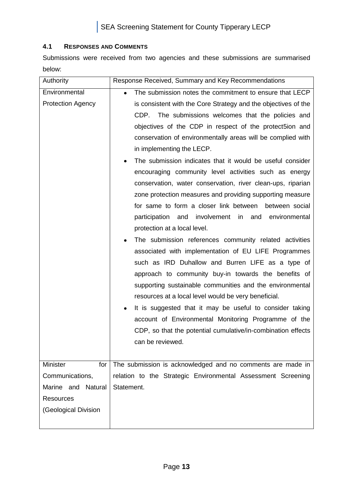#### <span id="page-13-0"></span>**4.1 RESPONSES AND COMMENTS**

Submissions were received from two agencies and these submissions are summarised below:

| Authority                                                                                                      | Response Received, Summary and Key Recommendations                                                                                                                                                                                                                                                                                                                                                                                                                                                                                                                                                                                                                                                                                                                                                                                                                                                                                                                                                                                                                                                                                                                                                                                                                                                                                             |
|----------------------------------------------------------------------------------------------------------------|------------------------------------------------------------------------------------------------------------------------------------------------------------------------------------------------------------------------------------------------------------------------------------------------------------------------------------------------------------------------------------------------------------------------------------------------------------------------------------------------------------------------------------------------------------------------------------------------------------------------------------------------------------------------------------------------------------------------------------------------------------------------------------------------------------------------------------------------------------------------------------------------------------------------------------------------------------------------------------------------------------------------------------------------------------------------------------------------------------------------------------------------------------------------------------------------------------------------------------------------------------------------------------------------------------------------------------------------|
| Environmental<br><b>Protection Agency</b>                                                                      | The submission notes the commitment to ensure that LECP<br>$\bullet$<br>is consistent with the Core Strategy and the objectives of the<br>CDP. The submissions welcomes that the policies and<br>objectives of the CDP in respect of the protect5ion and<br>conservation of environmentally areas will be complied with<br>in implementing the LECP.<br>The submission indicates that it would be useful consider<br>$\bullet$<br>encouraging community level activities such as energy<br>conservation, water conservation, river clean-ups, riparian<br>zone protection measures and providing supporting measure<br>for same to form a closer link between<br>between social<br>participation<br>involvement in<br>and environmental<br>and<br>protection at a local level.<br>The submission references community related activities<br>associated with implementation of EU LIFE Programmes<br>such as IRD Duhallow and Burren LIFE as a type of<br>approach to community buy-in towards the benefits of<br>supporting sustainable communities and the environmental<br>resources at a local level would be very beneficial.<br>It is suggested that it may be useful to consider taking<br>٠<br>account of Environmental Monitoring Programme of the<br>CDP, so that the potential cumulative/in-combination effects<br>can be reviewed. |
| <b>Minister</b><br>for<br>Communications,<br>Natural<br>Marine and<br><b>Resources</b><br>(Geological Division | The submission is acknowledged and no comments are made in<br>relation to the Strategic Environmental Assessment Screening<br>Statement.                                                                                                                                                                                                                                                                                                                                                                                                                                                                                                                                                                                                                                                                                                                                                                                                                                                                                                                                                                                                                                                                                                                                                                                                       |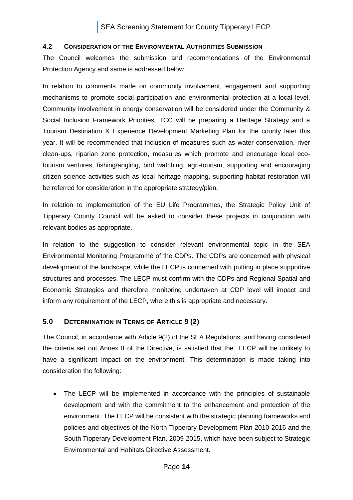#### <span id="page-14-0"></span>**4.2 CONSIDERATION OF THE ENVIRONMENTAL AUTHORITIES SUBMISSION**

The Council welcomes the submission and recommendations of the Environmental Protection Agency and same is addressed below.

In relation to comments made on community involvement, engagement and supporting mechanisms to promote social participation and environmental protection at a local level. Community involvement in energy conservation will be considered under the Community & Social Inclusion Framework Priorities. TCC will be preparing a Heritage Strategy and a Tourism Destination & Experience Development Marketing Plan for the county later this year. It will be recommended that inclusion of measures such as water conservation, river clean-ups, riparian zone protection, measures which promote and encourage local ecotourism ventures, fishing/angling, bird watching, agri-tourism, supporting and encouraging citizen science activities such as local heritage mapping, supporting habitat restoration will be referred for consideration in the appropriate strategy/plan.

In relation to implementation of the EU Life Programmes, the Strategic Policy Unit of Tipperary County Council will be asked to consider these projects in conjunction with relevant bodies as appropriate.

In relation to the suggestion to consider relevant environmental topic in the SEA Environmental Monitoring Programme of the CDPs. The CDPs are concerned with physical development of the landscape, while the LECP is concerned with putting in place supportive structures and processes. The LECP must confirm with the CDPs and Regional Spatial and Economic Strategies and therefore monitoring undertaken at CDP level will impact and inform any requirement of the LECP, where this is appropriate and necessary.

# <span id="page-14-1"></span>**5.0 DETERMINATION IN TERMS OF ARTICLE 9 (2)**

The Council, in accordance with Article 9(2) of the SEA Regulations, and having considered the criteria set out Annex II of the Directive, is satisfied that the LECP will be unlikely to have a significant impact on the environment. This determination is made taking into consideration the following:

The LECP will be implemented in accordance with the principles of sustainable development and with the commitment to the enhancement and protection of the environment. The LECP will be consistent with the strategic planning frameworks and policies and objectives of the North Tipperary Development Plan 2010-2016 and the South Tipperary Development Plan, 2009-2015, which have been subject to Strategic Environmental and Habitats Directive Assessment.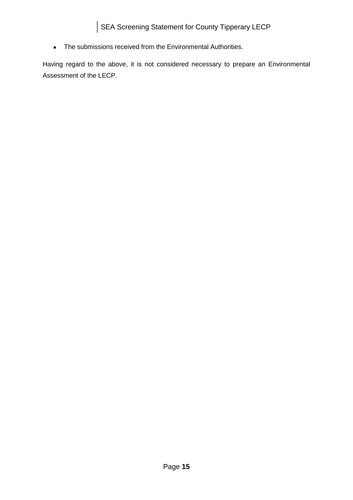The submissions received from the Environmental Authorities.

Having regard to the above, it is not considered necessary to prepare an Environmental Assessment of the LECP.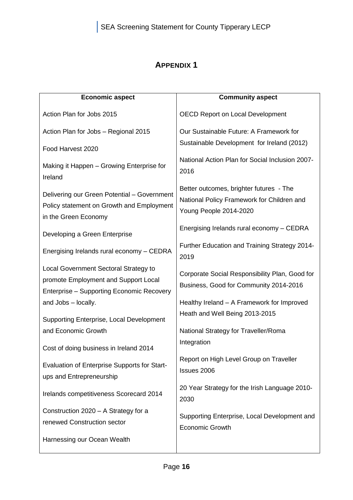# **APPENDIX 1**

<span id="page-16-0"></span>

| <b>Economic aspect</b>                                                                                                     | <b>Community aspect</b>                                                                                         |
|----------------------------------------------------------------------------------------------------------------------------|-----------------------------------------------------------------------------------------------------------------|
| Action Plan for Jobs 2015                                                                                                  | <b>OECD Report on Local Development</b>                                                                         |
| Action Plan for Jobs - Regional 2015                                                                                       | Our Sustainable Future: A Framework for                                                                         |
| Food Harvest 2020                                                                                                          | Sustainable Development for Ireland (2012)                                                                      |
| Making it Happen - Growing Enterprise for<br>Ireland                                                                       | National Action Plan for Social Inclusion 2007-<br>2016                                                         |
| Delivering our Green Potential - Government<br>Policy statement on Growth and Employment<br>in the Green Economy           | Better outcomes, brighter futures - The<br>National Policy Framework for Children and<br>Young People 2014-2020 |
| Developing a Green Enterprise                                                                                              | Energising Irelands rural economy - CEDRA                                                                       |
| Energising Irelands rural economy - CEDRA                                                                                  | Further Education and Training Strategy 2014-<br>2019                                                           |
| Local Government Sectoral Strategy to<br>promote Employment and Support Local<br>Enterprise - Supporting Economic Recovery | Corporate Social Responsibility Plan, Good for<br>Business, Good for Community 2014-2016                        |
| and Jobs - locally.                                                                                                        | Healthy Ireland - A Framework for Improved                                                                      |
| Supporting Enterprise, Local Development                                                                                   | Heath and Well Being 2013-2015                                                                                  |
| and Economic Growth                                                                                                        | National Strategy for Traveller/Roma                                                                            |
| Cost of doing business in Ireland 2014                                                                                     | Integration                                                                                                     |
| Evaluation of Enterprise Supports for Start-<br>ups and Entrepreneurship                                                   | Report on High Level Group on Traveller<br>Issues 2006                                                          |
| Irelands competitiveness Scorecard 2014                                                                                    | 20 Year Strategy for the Irish Language 2010-<br>2030                                                           |
| Construction 2020 - A Strategy for a<br>renewed Construction sector                                                        | Supporting Enterprise, Local Development and<br><b>Economic Growth</b>                                          |
| Harnessing our Ocean Wealth                                                                                                |                                                                                                                 |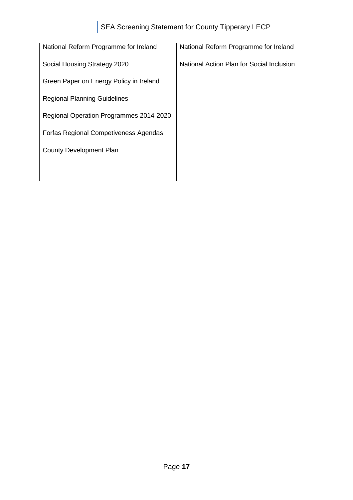| National Reform Programme for Ireland        | National Reform Programme for Ireland     |
|----------------------------------------------|-------------------------------------------|
| Social Housing Strategy 2020                 | National Action Plan for Social Inclusion |
| Green Paper on Energy Policy in Ireland      |                                           |
| <b>Regional Planning Guidelines</b>          |                                           |
| Regional Operation Programmes 2014-2020      |                                           |
| <b>Forfas Regional Competiveness Agendas</b> |                                           |
| <b>County Development Plan</b>               |                                           |
|                                              |                                           |
|                                              |                                           |